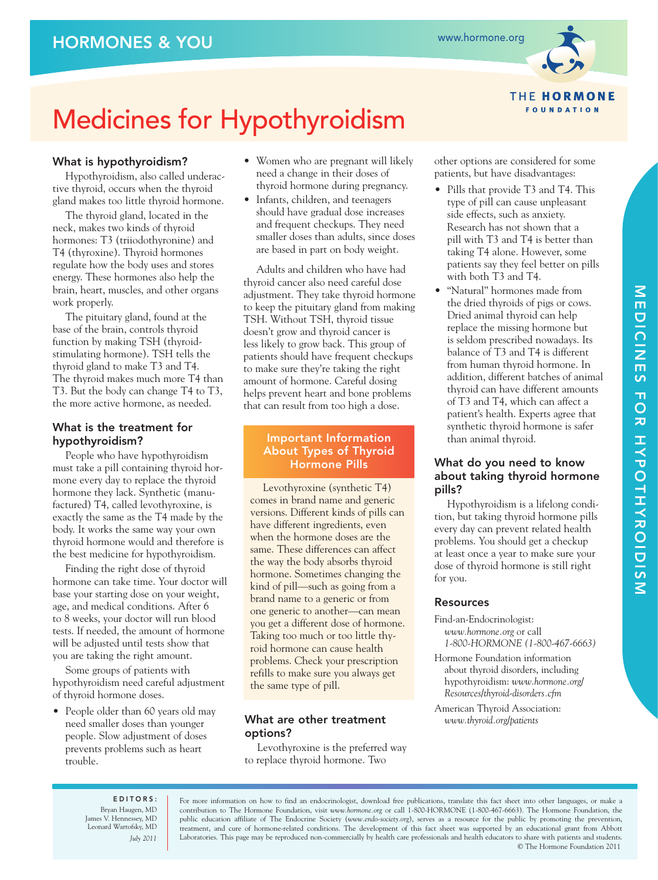

**THE HORMONE FOUNDATION** 

# Medicines for Hypothyroidism

# What is hypothyroidism?

Hypothyroidism, also called underactive thyroid, occurs when the thyroid gland makes too little thyroid hormone.

The thyroid gland, located in the neck, makes two kinds of thyroid hormones: T3 (triiodothyronine) and T4 (thyroxine). Thyroid hormones regulate how the body uses and stores energy. These hormones also help the brain, heart, muscles, and other organs work properly.

The pituitary gland, found at the base of the brain, controls thyroid function by making TSH (thyroidstimulating hormone). TSH tells the thyroid gland to make T3 and T4. The thyroid makes much more T4 than T3. But the body can change T4 to T3, the more active hormone, as needed.

# What is the treatment for hypothyroidism?

People who have hypothyroidism must take a pill containing thyroid hormone every day to replace the thyroid hormone they lack. Synthetic (manufactured) T4, called levothyroxine, is exactly the same as the T4 made by the body. It works the same way your own thyroid hormone would and therefore is the best medicine for hypothyroidism.

Finding the right dose of thyroid hormone can take time. Your doctor will base your starting dose on your weight, age, and medical conditions. After 6 to 8 weeks, your doctor will run blood tests. If needed, the amount of hormone will be adjusted until tests show that you are taking the right amount.

Some groups of patients with hypothyroidism need careful adjustment of thyroid hormone doses.

• People older than 60 years old may need smaller doses than younger people. Slow adjustment of doses prevents problems such as heart trouble.

- Women who are pregnant will likely need a change in their doses of thyroid hormone during pregnancy.
- Infants, children, and teenagers should have gradual dose increases and frequent checkups. They need smaller doses than adults, since doses are based in part on body weight.

Adults and children who have had thyroid cancer also need careful dose adjustment. They take thyroid hormone to keep the pituitary gland from making TSH. Without TSH, thyroid tissue doesn't grow and thyroid cancer is less likely to grow back. This group of patients should have frequent checkups to make sure they're taking the right amount of hormone. Careful dosing helps prevent heart and bone problems that can result from too high a dose.

# Important Information About Types of Thyroid Hormone Pills

Levothyroxine (synthetic T4) comes in brand name and generic versions. Different kinds of pills can have different ingredients, even when the hormone doses are the same. These differences can affect the way the body absorbs thyroid hormone. Sometimes changing the kind of pill—such as going from a brand name to a generic or from one generic to another—can mean you get a different dose of hormone. Taking too much or too little thyroid hormone can cause health problems. Check your prescription refills to make sure you always get the same type of pill.

# What are other treatment options?

Levothyroxine is the preferred way to replace thyroid hormone. Two

other options are considered for some patients, but have disadvantages:

- Pills that provide T3 and T4. This type of pill can cause unpleasant side effects, such as anxiety. Research has not shown that a pill with T3 and T4 is better than taking T4 alone. However, some patients say they feel better on pills with both T3 and T4.
- "Natural" hormones made from the dried thyroids of pigs or cows. Dried animal thyroid can help replace the missing hormone but is seldom prescribed nowadays. Its balance of T3 and T4 is different from human thyroid hormone. In addition, different batches of animal thyroid can have different amounts of T3 and T4, which can affect a patient's health. Experts agree that synthetic thyroid hormone is safer than animal thyroid.

### What do you need to know about taking thyroid hormone pills?

Hypothyroidism is a lifelong condition, but taking thyroid hormone pills every day can prevent related health problems. You should get a checkup at least once a year to make sure your dose of thyroid hormone is still right for you.

# Resources

- Find-an-Endocrinologist: *www.hormone.org* or call *1-800-HORMONE (1-800-467-6663)*
- Hormone Foundation information about thyroid disorders, including hypothyroidism: *www.hormone.org/ Resources/thyroid-disorders.cfm*
- American Thyroid Association: *www.thyroid.org/patients*

EDITORS: Bryan Haugen, MD James V. Hennessey, MD Leonard Wartofsky, MD *July 2011*

For more information on how to find an endocrinologist, download free publications, translate this fact sheet into other languages, or make a contribution to The Hormone Foundation, visit *www.hormone.org* or call 1-800-HORMONE (1-800-467-6663). The Hormone Foundation, the public education affiliate of The Endocrine Society (*www.endo-society.org*), serves as a resource for the public by promoting the prevention, treatment, and cure of hormone-related conditions. The development of this fact sheet was supported by an educational grant from Abbott Laboratories. This page may be reproduced non-commercially by health care professionals and health educators to share with patients and students. © The Hormone Foundation 2011